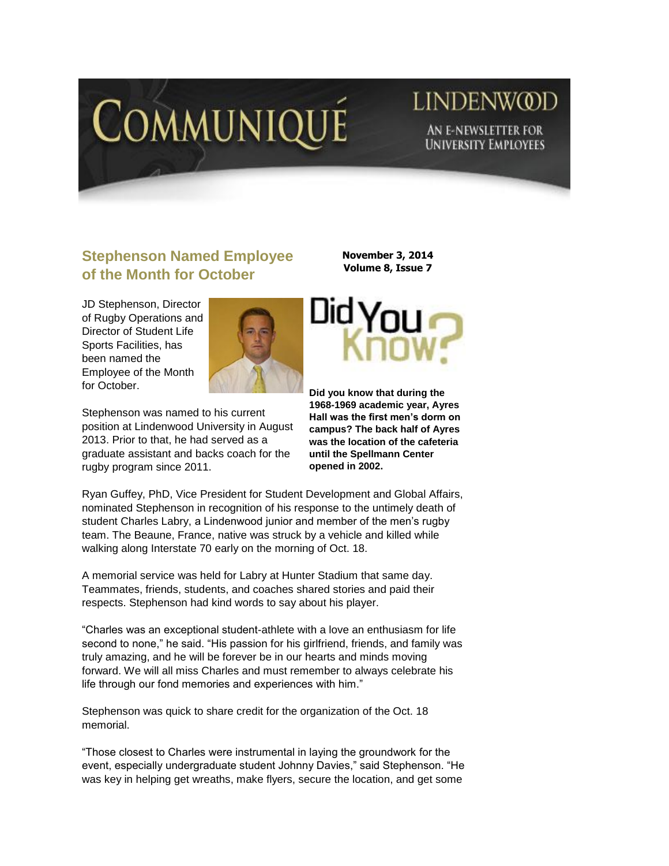

## LINDENWOD AN E-NEWSLETTER FOR **UNIVERSITY EMPLOYEES**

## **Stephenson Named Employee of the Month for October**

JD Stephenson, Director of Rugby Operations and Director of Student Life Sports Facilities, has been named the Employee of the Month for October.



Stephenson was named to his current position at Lindenwood University in August 2013. Prior to that, he had served as a graduate assistant and backs coach for the rugby program since 2011.

**November 3, 2014 Volume 8, Issue 7**



**Did you know that during the 1968-1969 academic year, Ayres Hall was the first men's dorm on campus? The back half of Ayres was the location of the cafeteria until the Spellmann Center opened in 2002.** 

Ryan Guffey, PhD, Vice President for Student Development and Global Affairs, nominated Stephenson in recognition of his response to the untimely death of student Charles Labry, a Lindenwood junior and member of the men's rugby team. The Beaune, France, native was struck by a vehicle and killed while walking along Interstate 70 early on the morning of Oct. 18.

A memorial service was held for Labry at Hunter Stadium that same day. Teammates, friends, students, and coaches shared stories and paid their respects. Stephenson had kind words to say about his player.

"Charles was an exceptional student-athlete with a love an enthusiasm for life second to none," he said. "His passion for his girlfriend, friends, and family was truly amazing, and he will be forever be in our hearts and minds moving forward. We will all miss Charles and must remember to always celebrate his life through our fond memories and experiences with him."

Stephenson was quick to share credit for the organization of the Oct. 18 memorial.

"Those closest to Charles were instrumental in laying the groundwork for the event, especially undergraduate student Johnny Davies," said Stephenson. "He was key in helping get wreaths, make flyers, secure the location, and get some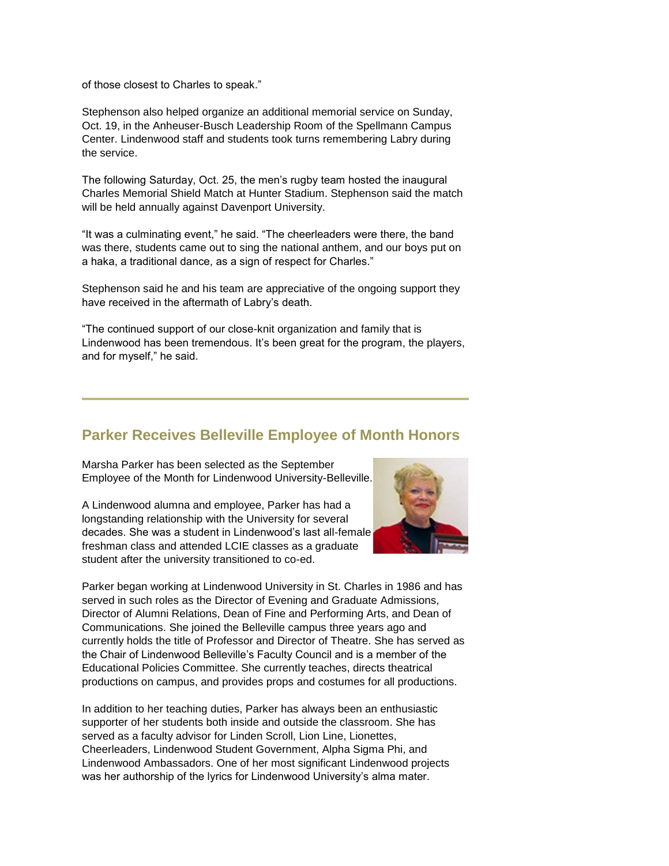of those closest to Charles to speak."

Stephenson also helped organize an additional memorial service on Sunday, Oct. 19, in the Anheuser-Busch Leadership Room of the Spellmann Campus Center. Lindenwood staff and students took turns remembering Labry during the service.

The following Saturday, Oct. 25, the men's rugby team hosted the inaugural Charles Memorial Shield Match at Hunter Stadium. Stephenson said the match will be held annually against Davenport University.

"It was a culminating event," he said. "The cheerleaders were there, the band was there, students came out to sing the national anthem, and our boys put on a haka, a traditional dance, as a sign of respect for Charles."

Stephenson said he and his team are appreciative of the ongoing support they have received in the aftermath of Labry's death.

"The continued support of our close-knit organization and family that is Lindenwood has been tremendous. It's been great for the program, the players, and for myself," he said.

## **Parker Receives Belleville Employee of Month Honors**

Marsha Parker has been selected as the September Employee of the Month for Lindenwood University-Belleville.

A Lindenwood alumna and employee, Parker has had a longstanding relationship with the University for several decades. She was a student in Lindenwood's last all-female freshman class and attended LCIE classes as a graduate student after the university transitioned to co-ed.



Parker began working at Lindenwood University in St. Charles in 1986 and has served in such roles as the Director of Evening and Graduate Admissions, Director of Alumni Relations, Dean of Fine and Performing Arts, and Dean of Communications. She joined the Belleville campus three years ago and currently holds the title of Professor and Director of Theatre. She has served as the Chair of Lindenwood Belleville's Faculty Council and is a member of the Educational Policies Committee. She currently teaches, directs theatrical productions on campus, and provides props and costumes for all productions.

In addition to her teaching duties, Parker has always been an enthusiastic supporter of her students both inside and outside the classroom. She has served as a faculty advisor for Linden Scroll, Lion Line, Lionettes, Cheerleaders, Lindenwood Student Government, Alpha Sigma Phi, and Lindenwood Ambassadors. One of her most significant Lindenwood projects was her authorship of the lyrics for Lindenwood University's alma mater.